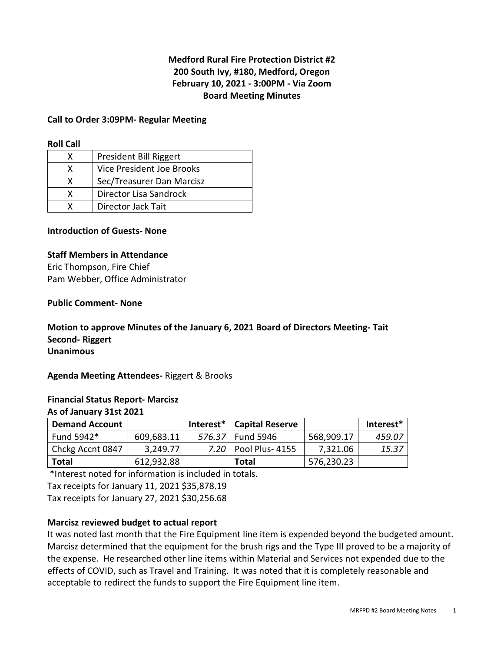# **Medford Rural Fire Protection District #2 200 South Ivy, #180, Medford, Oregon February 10, 2021 - 3:00PM - Via Zoom Board Meeting Minutes**

#### **Call to Order 3:09PM- Regular Meeting**

#### **Roll Call**

|   | President Bill Riggert    |
|---|---------------------------|
| x | Vice President Joe Brooks |
| x | Sec/Treasurer Dan Marcisz |
| x | Director Lisa Sandrock    |
|   | Director Jack Tait        |

#### **Introduction of Guests- None**

#### **Staff Members in Attendance**

Eric Thompson, Fire Chief Pam Webber, Office Administrator

#### **Public Comment- None**

**Motion to approve Minutes of the January 6, 2021 Board of Directors Meeting- Tait Second- Riggert Unanimous** 

**Agenda Meeting Attendees-** Riggert & Brooks

#### **Financial Status Report- Marcisz As of January 31st 2021**

| <b>Demand Account</b> |            | $Interest*$ | <b>Capital Reserve</b> |            | Interest* |
|-----------------------|------------|-------------|------------------------|------------|-----------|
| Fund 5942*            | 609,683.11 | 576.37      | <b>Fund 5946</b>       | 568,909.17 | 459.07    |
| Chckg Accnt 0847      | 3,249.77   |             | 7.20   Pool Plus- 4155 | 7,321.06   | 15.37     |
| <b>Total</b>          | 612,932.88 |             | Total                  | 576,230.23 |           |

\*Interest noted for information is included in totals.

Tax receipts for January 11, 2021 \$35,878.19

Tax receipts for January 27, 2021 \$30,256.68

#### **Marcisz reviewed budget to actual report**

It was noted last month that the Fire Equipment line item is expended beyond the budgeted amount. Marcisz determined that the equipment for the brush rigs and the Type III proved to be a majority of the expense. He researched other line items within Material and Services not expended due to the effects of COVID, such as Travel and Training. It was noted that it is completely reasonable and acceptable to redirect the funds to support the Fire Equipment line item.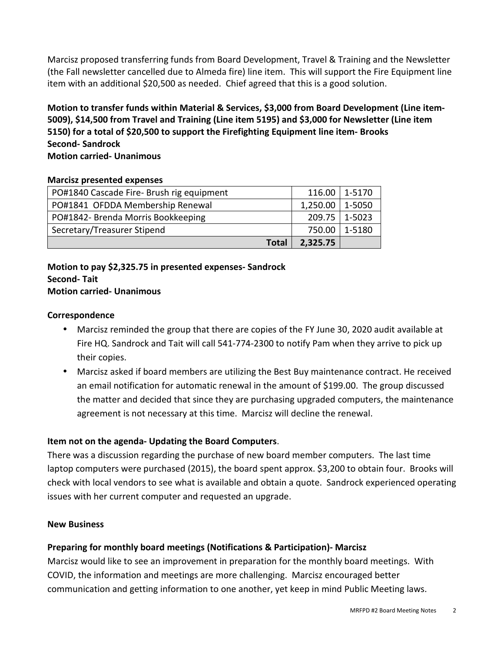Marcisz proposed transferring funds from Board Development, Travel & Training and the Newsletter (the Fall newsletter cancelled due to Almeda fire) line item. This will support the Fire Equipment line item with an additional \$20,500 as needed. Chief agreed that this is a good solution.

**Motion to transfer funds within Material & Services, \$3,000 from Board Development (Line item-5009), \$14,500 from Travel and Training (Line item 5195) and \$3,000 for Newsletter (Line item 5150) for a total of \$20,500 to support the Firefighting Equipment line item- Brooks Second- Sandrock Motion carried- Unanimous** 

#### **Marcisz presented expenses**

| PO#1840 Cascade Fire- Brush rig equipment | 116.00   | 1-5170 |
|-------------------------------------------|----------|--------|
| PO#1841 OFDDA Membership Renewal          | 1,250.00 | 1-5050 |
| PO#1842- Brenda Morris Bookkeeping        | 209.75丨  | 1-5023 |
| Secretary/Treasurer Stipend               | 750.00   | 1-5180 |
| <b>Total</b>                              | 2,325.75 |        |

#### **Motion to pay \$2,325.75 in presented expenses- Sandrock Second- Tait Motion carried- Unanimous**

#### **Correspondence**

- Marcisz reminded the group that there are copies of the FY June 30, 2020 audit available at Fire HQ. Sandrock and Tait will call 541-774-2300 to notify Pam when they arrive to pick up their copies.
- Marcisz asked if board members are utilizing the Best Buy maintenance contract. He received an email notification for automatic renewal in the amount of \$199.00. The group discussed the matter and decided that since they are purchasing upgraded computers, the maintenance agreement is not necessary at this time. Marcisz will decline the renewal.

# **Item not on the agenda- Updating the Board Computers**.

There was a discussion regarding the purchase of new board member computers. The last time laptop computers were purchased (2015), the board spent approx. \$3,200 to obtain four. Brooks will check with local vendors to see what is available and obtain a quote. Sandrock experienced operating issues with her current computer and requested an upgrade.

#### **New Business**

# **Preparing for monthly board meetings (Notifications & Participation)- Marcisz**

Marcisz would like to see an improvement in preparation for the monthly board meetings. With COVID, the information and meetings are more challenging. Marcisz encouraged better communication and getting information to one another, yet keep in mind Public Meeting laws.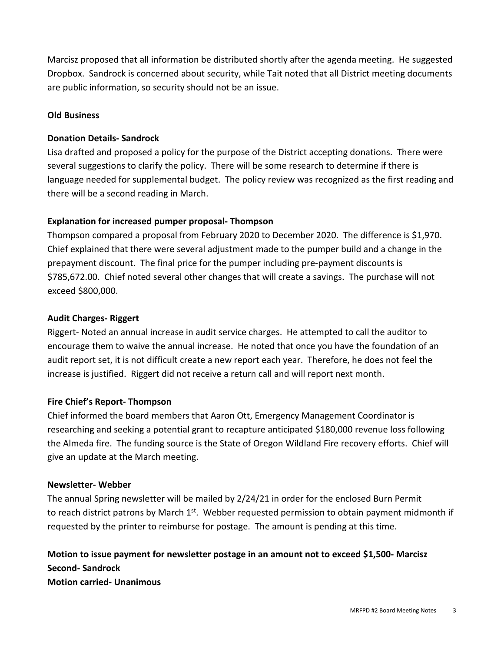Marcisz proposed that all information be distributed shortly after the agenda meeting. He suggested Dropbox. Sandrock is concerned about security, while Tait noted that all District meeting documents are public information, so security should not be an issue.

#### **Old Business**

#### **Donation Details- Sandrock**

Lisa drafted and proposed a policy for the purpose of the District accepting donations. There were several suggestions to clarify the policy. There will be some research to determine if there is language needed for supplemental budget. The policy review was recognized as the first reading and there will be a second reading in March.

#### **Explanation for increased pumper proposal- Thompson**

Thompson compared a proposal from February 2020 to December 2020. The difference is \$1,970. Chief explained that there were several adjustment made to the pumper build and a change in the prepayment discount. The final price for the pumper including pre-payment discounts is \$785,672.00. Chief noted several other changes that will create a savings. The purchase will not exceed \$800,000.

#### **Audit Charges- Riggert**

Riggert- Noted an annual increase in audit service charges. He attempted to call the auditor to encourage them to waive the annual increase. He noted that once you have the foundation of an audit report set, it is not difficult create a new report each year. Therefore, he does not feel the increase is justified. Riggert did not receive a return call and will report next month.

#### **Fire Chief's Report- Thompson**

Chief informed the board members that Aaron Ott, Emergency Management Coordinator is researching and seeking a potential grant to recapture anticipated \$180,000 revenue loss following the Almeda fire. The funding source is the State of Oregon Wildland Fire recovery efforts. Chief will give an update at the March meeting.

#### **Newsletter- Webber**

The annual Spring newsletter will be mailed by 2/24/21 in order for the enclosed Burn Permit to reach district patrons by March  $1<sup>st</sup>$ . Webber requested permission to obtain payment midmonth if requested by the printer to reimburse for postage. The amount is pending at this time.

# **Motion to issue payment for newsletter postage in an amount not to exceed \$1,500- Marcisz Second- Sandrock Motion carried- Unanimous**